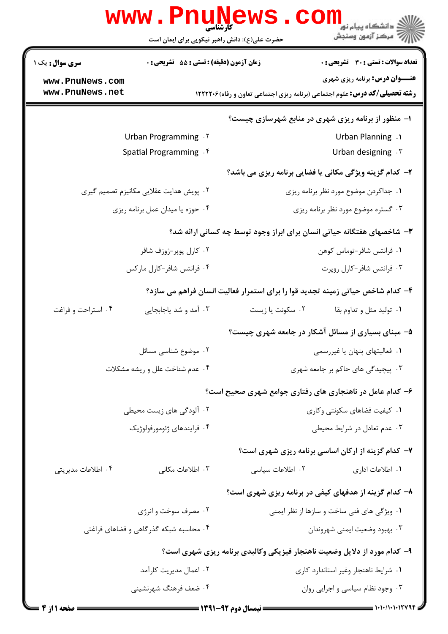| <b>WWW.PNUN</b>                                                                | <b>IEWS</b><br>ڪ دانشڪاه پيام نور <mark>−</mark><br>/7 مرڪز آزمون وسنڊش<br>کارشناسی<br>حضرت علی(ع): دانش راهبر نیکویی برای ایمان است |  |  |
|--------------------------------------------------------------------------------|--------------------------------------------------------------------------------------------------------------------------------------|--|--|
| زمان آزمون (دقیقه) : تستی : 55 آتشریحی : 0<br><b>سری سوال :</b> یک ۱           | <b>تعداد سوالات : تستی : 30 ٪ تشریحی : 0</b>                                                                                         |  |  |
| www.PnuNews.com                                                                | <b>عنـــوان درس:</b> برنامه ریزی شهری                                                                                                |  |  |
| www.PnuNews.net                                                                | <b>رشته تحصیلی/کد درس:</b> علوم اجتماعی (برنامه ریزی اجتماعی تعاون و رفاه) ۱۲۲۲۲۰۶                                                   |  |  |
|                                                                                | ۱- منظور از برنامه ریزی شهری در منابع شهرسازی چیست؟                                                                                  |  |  |
| Urban Programming . ٢                                                          | Urban Planning .1                                                                                                                    |  |  |
| Spatial Programming . f                                                        | Urban designing . ٣                                                                                                                  |  |  |
|                                                                                | ۲- کدام گزینه ویژگی مکانی یا فضایی برنامه ریزی می باشد؟                                                                              |  |  |
| ۰۲ پویش هدایت عقلایی مکانیزم تصمیم گیری                                        | ۰۱ جداکردن موضوع مورد نظر برنامه ریزی                                                                                                |  |  |
| ۰۴ حوزه یا میدان عمل برنامه ریزی                                               | ۰۳ گستره موضوع مورد نظر برنامه ریزی                                                                                                  |  |  |
| ۳- شاخصهای هفتگانه حیاتی انسان برای ابراز وجود توسط چه کسانی ارائه شد؟         |                                                                                                                                      |  |  |
| ۰۲ کارل پوپر-ژوزف شافر                                                         | ٠١ فرانتس شافر-توماس كوهن                                                                                                            |  |  |
| ۰۴ فرانتس شافر-کارل مارکس                                                      | ۰۳ فرانتس شافر-کارل روپرت                                                                                                            |  |  |
| ۴- کدام شاخص حیاتی زمینه تجدید قوا را برای استمرار فعالیت انسان فراهم می سازد؟ |                                                                                                                                      |  |  |
| ۰۴ استراحت و فراغت<br>۰۳ آمد و شد یاجابجایی                                    | ۰۱ تولید مثل و تداوم بقا<br>۰۲ سکونت یا زیست                                                                                         |  |  |
|                                                                                | ۵– مبنای بسیاری از مسائل آشکار در جامعه شهری چیست؟                                                                                   |  |  |
| ۰۲ موضوع شناسی مسائل                                                           | ۰۱ فعالیتهای پنهان یا غیررسمی                                                                                                        |  |  |
| ۰۴ عدم شناخت علل و ريشه مشكلات                                                 | ۰۳ پیچیدگی های حاکم بر جامعه شهری                                                                                                    |  |  |
|                                                                                | ۶- کدام عامل در ناهنجاری های رفتاری جوامع شهری صحیح است؟                                                                             |  |  |
| ۰۲ آلودگی های زیست محیطی                                                       | ۰۱ کیفیت فضاهای سکونتی وکاری                                                                                                         |  |  |
| ۰۴ فرايندهاي ژئومورفولوژيک                                                     | ۰۳ عدم تعادل در شرایط محیطی                                                                                                          |  |  |
|                                                                                | ۷- کدام گزینه از ارکان اساسی برنامه ریزی شهری است؟                                                                                   |  |  |
| ۰۴ اطلاعات مدیریتی<br>۰۳ اطلاعات مکانی                                         | ٢. اطلاعات سياسى<br>٠١. اطلاعات اداري                                                                                                |  |  |
|                                                                                | ۸– کدام گزینه از هدفهای کیفی در برنامه ریزی شهری است؟                                                                                |  |  |
| ۰۲ مصرف سوخت و انرژی                                                           | ٠١ ويژگى هاى فنى ساخت و سازها از نظر ايمنى                                                                                           |  |  |
| ۰۴ محاسبه شبکه گذرگاهی و فضاهای فراغتی                                         | ۰۳ بهبود وضعيت ايمني شهروندان                                                                                                        |  |  |
|                                                                                | ۹- کدام مورد از دلایل وضعیت ناهنجار فیزیکی وکالبدی برنامه ریزی شهری است؟                                                             |  |  |
| ۰۲ اعمال مدیریت کارآمد                                                         | ۰۱ شرایط ناهنجار وغیر استاندارد کاری                                                                                                 |  |  |
| ۰۴ ضعف فرهنگ شهرنشيني                                                          | ۰۳ وجود نظام سیاسی و اجرایی روان                                                                                                     |  |  |
|                                                                                |                                                                                                                                      |  |  |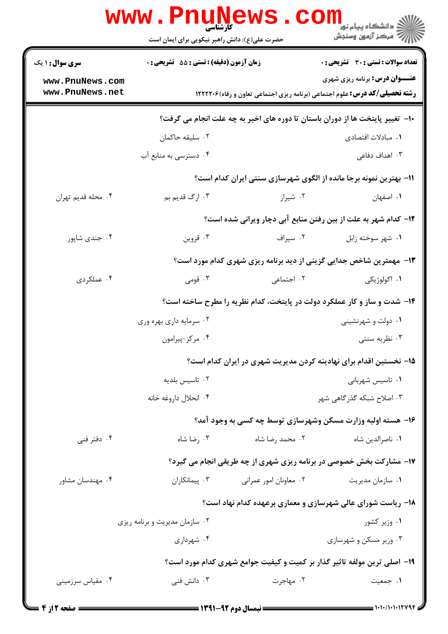|                                    | <b>www.PnuNews</b><br>حضرت علی(ع): دانش راهبر نیکویی برای ایمان است |                        | ڪ دانشڪاه پيا <sub>م</sub> نور<br><mark>∕</mark> 7 مرڪز آزمون وسنڊش                                                                |
|------------------------------------|---------------------------------------------------------------------|------------------------|------------------------------------------------------------------------------------------------------------------------------------|
| <b>سری سوال : ۱ یک</b>             | <b>زمان آزمون (دقیقه) : تستی : 55 تشریحی : 0</b>                    |                        | <b>تعداد سوالات : تستي : 30 ٪ تشريحي : 0</b>                                                                                       |
| www.PnuNews.com<br>www.PnuNews.net |                                                                     |                        | <b>عنـــوان درس:</b> برنامه ریزی شهری<br><b>رشته تحصیلی/کد درس:</b> علوم اجتماعی (برنامه ریزی اجتماعی تعاون و رفاه) <b>۱۲۲۲۲۰۶</b> |
|                                    |                                                                     |                        | ∙ا− تغییر پایتخت ها از دوران باستان تا دوره های اخیر به چه علت انجام می گرفت؟                                                      |
|                                    | ۰۲ سلیقه حاکمان                                                     |                        | ٠١. مبادلات اقتصادى                                                                                                                |
|                                    | ۰۴ دسترسی به منابع آب                                               |                        | ۰۳ اهداف دفاعی                                                                                                                     |
|                                    |                                                                     |                        | 11- بهترین نمونه برجا مانده از الگوی شهرسازی سنتی ایران کدام است؟                                                                  |
| ۰۴ محله قديم تهران                 | ۰۳ ارگ قديم بم                                                      | ۰۲ شیراز               | ٠١. اصفهان                                                                                                                         |
|                                    |                                                                     |                        | <b>۱۲</b> - کدام شهر به علت از بین رفتن منابع آبی دچار ویرانی شده است؟                                                             |
| ۰۴ جندی شاپور                      | ۰۳ قزوين                                                            | ۰۲ سیراف               | ۰۱ شهر سوخته زابل                                                                                                                  |
|                                    |                                                                     |                        | ۱۳- مهمترین شاخص جدایی گزینی از دید برنامه ریزی شهری کدام مورد است؟                                                                |
| ۰۴ عملکردی                         | ۰۳ قومی                                                             | ۰۲ اجتماعی             | ۰۱ اکولوژیکی                                                                                                                       |
|                                    |                                                                     |                        | ۱۴- شدت و ساز و کار عملکرد دولت در پایتخت، کدام نظریه را مطرح ساخته است؟                                                           |
|                                    | ۰۲ سرمایه داری بهره وری                                             |                        | ۰۱ دولت و شهرنشینی                                                                                                                 |
|                                    | ۰۴ مرکز-پیرامون                                                     |                        | ۰۳ نظریه سنتی                                                                                                                      |
|                                    |                                                                     |                        | ۱۵– نخستین اقدام برای نهادینه کردن مدیریت شهری در ایران کدام است؟                                                                  |
|                                    | ۰۲ تاسیس بلدیه                                                      |                        | ۰۱ تاسیس شهربانی                                                                                                                   |
|                                    | ۰۴ انحلال داروغه خانه                                               |                        | ۰۳ اصلاح شبکه گذر گاهی شهر                                                                                                         |
|                                    |                                                                     |                        | ۱۶- هسته اولیه وزارت مسکن وشهرسازی توسط چه کسی به وجود آمد؟                                                                        |
| ۰۴ دفتر فنی                        | ۰۳ رضا شاه                                                          | ۰۲ محمد رضا شاه        | ٠١ ناصرالدين شاه                                                                                                                   |
|                                    |                                                                     |                        | ۱۷- مشارکت بخش خصوصی در برنامه ریزی شهری از چه طریقی انجام می گیرد؟                                                                |
| ۰۴ مهندسان مشاور                   | ۰۳ پیمانکاران                                                       | ۰۲ معاونان امور عمراني | ۰۱ سازمان مدیریت                                                                                                                   |
|                                    |                                                                     |                        | ۱۸- ریاست شورای عالی شهرسازی و معماری برعهده کدام نهاد است؟                                                                        |
|                                    | ۰۲ سازمان مدیریت و برنامه ریزی                                      |                        | ۰۱ وزیر کشور                                                                                                                       |
|                                    | ۰۴ شهرداری                                                          |                        | ۰۳ وزیر مسکن و شهرسازی                                                                                                             |
|                                    |                                                                     |                        | ۱۹- اصلی ترین مولفه تاثیر گذار بر کمیت و کیفیت جوامع شهری کدام مورد است؟                                                           |
| ۰۴ مقیاس سرزمینی                   | ۰۳ دانش فنی                                                         | ۰۲ مهاجرت              | ۰۱ جمعیت                                                                                                                           |
|                                    |                                                                     |                        |                                                                                                                                    |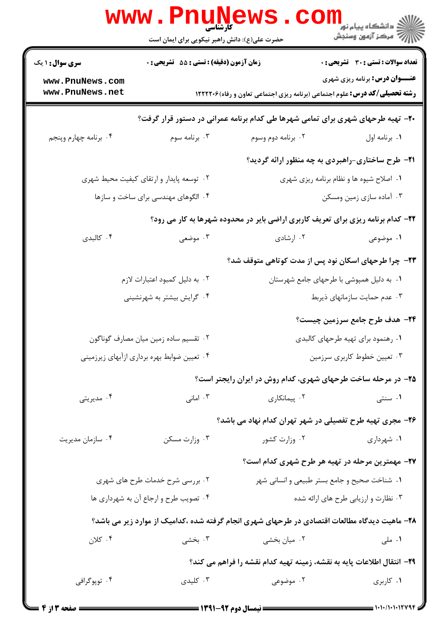|                                                                                 | <b>www.Pnune</b><br><b>کارشناسی</b><br>حضرت علی(ع): دانش راهبر نیکویی برای ایمان است |                                                                                               | ران دانشگاه پيام نور ■<br> /> مرکز آزمون وسنجش |  |  |
|---------------------------------------------------------------------------------|--------------------------------------------------------------------------------------|-----------------------------------------------------------------------------------------------|------------------------------------------------|--|--|
| <b>سری سوال : ۱ یک</b>                                                          | <b>زمان آزمون (دقیقه) : تستی : 55 تشریحی : 0</b>                                     |                                                                                               | تعداد سوالات : تستي : 30 - تشريحي : 0          |  |  |
| www.PnuNews.com<br>www.PnuNews.net                                              |                                                                                      | <b>رشته تحصیلی/کد درس:</b> علوم اجتماعی (برنامه ریزی اجتماعی تعاون و رفاه)۱۲۲۲۲۰۶             | <b>عنـــوان درس:</b> برنامه ریزی شهری          |  |  |
| ۲۰- تهیه طرحهای شهری برای تمامی شهرها طی کدام برنامه عمرانی در دستور قرار گرفت؟ |                                                                                      |                                                                                               |                                                |  |  |
| ۰۴ برنامه چهارم وپنجم                                                           | ۰۳ برنامه سوم                                                                        | ۰۲ برنامه دوم وسوم                                                                            | ٠١. برنامه اول                                 |  |  |
|                                                                                 |                                                                                      | <b>۳۱</b> - طرح ساختاری-راهبردی به چه منظور ارائه گردید؟                                      |                                                |  |  |
|                                                                                 | ۰۲ توسعه پایدار و ارتقای کیفیت محیط شهری                                             |                                                                                               | ۰۱ اصلاح شیوه ها و نظام برنامه ریزی شهری       |  |  |
| ۰۴ الگوهای مهندسی برای ساخت و سازها                                             |                                                                                      | ۰۳ آماده سازی زمین ومسکن                                                                      |                                                |  |  |
|                                                                                 |                                                                                      | ۲۲- کدام برنامه ریزی برای تعریف کاربری اراضی بایر در محدوده شهرها به کار می رود؟              |                                                |  |  |
| ۰۴ کالبدی                                                                       | ۰۳ موضعی                                                                             | ۰۲ ارشادی                                                                                     | ۱. موضوعی                                      |  |  |
|                                                                                 |                                                                                      | ۲۳- چرا طرحهای اسکان نود پس از مدت کوتاهی متوقف شد؟                                           |                                                |  |  |
|                                                                                 | ۰۲ به دلیل کمبود اعتبارات لازم                                                       |                                                                                               | ۰۱ به دلیل همپوشی با طرحهای جامع شهرستان       |  |  |
|                                                                                 | ۰۴ گرایش بیشتر به شهرنشینی                                                           |                                                                                               | ۰۳ عدم حمایت سازمانهای ذیربط                   |  |  |
|                                                                                 |                                                                                      |                                                                                               | ۲۴- هدف طرح جامع سرزمین چیست؟                  |  |  |
| ۰۲ تقسیم ساده زمین میان مصارف گوناگون                                           |                                                                                      | ۰۱ رهنمود برای تهیه طرحهای کالبدی                                                             |                                                |  |  |
| ۰۴ تعیین ضوابط بهره برداری ازآبهای زیرزمینی                                     |                                                                                      | ۰۳ تعیین خطوط کاربری سرزمین                                                                   |                                                |  |  |
|                                                                                 |                                                                                      | ۲۵- در مرحله ساخت طرحهای شهری، کدام روش در ایران رایجتر است؟                                  |                                                |  |  |
| ۰۴ مدیریتی                                                                      | ۰۳ امانی                                                                             | ۰۲ پیمانکاری                                                                                  | ۰۱ سنتی                                        |  |  |
|                                                                                 |                                                                                      | ۲۶– مجری تهیه طرح تفصیلی در شهر تهران کدام نهاد می باشد؟                                      |                                                |  |  |
| ۰۴ سازمان مديريت                                                                | ۰۳ وزارت مسکن                                                                        | ۰۲ وزارت کشور                                                                                 | ۰۱ شهرداری                                     |  |  |
|                                                                                 |                                                                                      | ۲۷– مهمترین مرحله در تهیه هر طرح شهری کدام است؟                                               |                                                |  |  |
|                                                                                 | ۰۲ بررسی شرح خدمات طرح های شهری                                                      | ۰۱ شناخت صحیح و جامع بستر طبیعی و انسانی شهر                                                  |                                                |  |  |
|                                                                                 | ۰۴ تصویب طرح و ارجاع آن به شهرداری ها                                                |                                                                                               | ۰۳ نظارت و ارزیابی طرح های ارائه شده           |  |  |
|                                                                                 |                                                                                      | ۲۸- ماهیت دیدگاه مطالعات اقتصادی در طرحهای شهری انجام گرفته شده ،کدامیک از موارد زیر می باشد؟ |                                                |  |  |
| ۰۴ کلان                                                                         | ۰۳ بخشی                                                                              | ۰۲ میان بخشی                                                                                  | ۰۱ ملی                                         |  |  |
|                                                                                 |                                                                                      | ٢٩- انتقال اطلاعات پايه به نقشه، زمينه تهيه كدام نقشه را فراهم مي كند؟                        |                                                |  |  |
| ۰۴ توپوگرافی                                                                    | ۰۳ کلیدی                                                                             | ۰۲ موضوعی                                                                                     | ۰۱ کاربری                                      |  |  |
|                                                                                 |                                                                                      |                                                                                               |                                                |  |  |